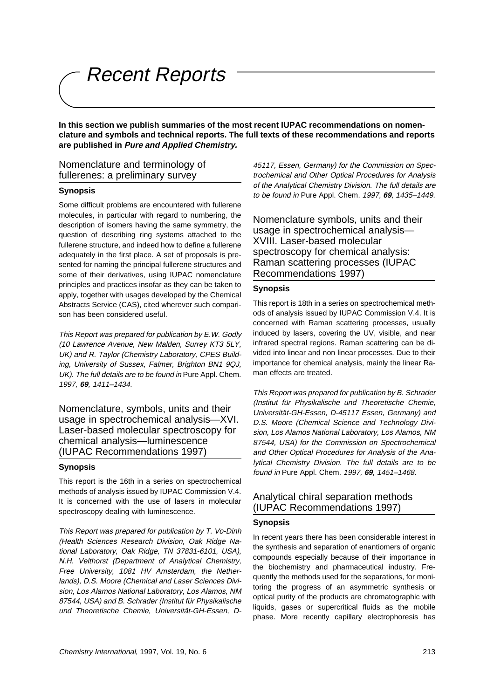Recent Reports

**In this section we publish summaries of the most recent IUPAC recommendations on nomenclature and symbols and technical reports. The full texts of these recommendations and reports are published in Pure and Applied Chemistry.**

### Nomenclature and terminology of fullerenes: a preliminary survey

#### **Synopsis**

Some difficult problems are encountered with fullerene molecules, in particular with regard to numbering, the description of isomers having the same symmetry, the question of describing ring systems attached to the fullerene structure, and indeed how to define a fullerene adequately in the first place. A set of proposals is presented for naming the principal fullerene structures and some of their derivatives, using IUPAC nomenclature principles and practices insofar as they can be taken to apply, together with usages developed by the Chemical Abstracts Service (CAS), cited wherever such comparison has been considered useful.

This Report was prepared for publication by E.W. Godly (10 Lawrence Avenue, New Malden, Surrey KT3 5LY, UK) and R. Taylor (Chemistry Laboratory, CPES Building, University of Sussex, Falmer, Brighton BN1 9QJ, UK). The full details are to be found in Pure Appl. Chem. 1997, **69**, 1411–1434.

Nomenclature, symbols, units and their usage in spectrochemical analysis—XVI. Laser-based molecular spectroscopy for chemical analysis—luminescence (IUPAC Recommendations 1997)

#### **Synopsis**

This report is the 16th in a series on spectrochemical methods of analysis issued by IUPAC Commission V.4. It is concerned with the use of lasers in molecular spectroscopy dealing with luminescence.

This Report was prepared for publication by T. Vo-Dinh (Health Sciences Research Division, Oak Ridge National Laboratory, Oak Ridge, TN 37831-6101, USA), N.H. Velthorst (Department of Analytical Chemistry, Free University, 1081 HV Amsterdam, the Netherlands), D.S. Moore (Chemical and Laser Sciences Division, Los Alamos National Laboratory, Los Alamos, NM 87544, USA) and B. Schrader (Institut für Physikalische und Theoretische Chemie, Universität-GH-Essen, D-

45117, Essen, Germany) for the Commission on Spectrochemical and Other Optical Procedures for Analysis of the Analytical Chemistry Division. The full details are to be found in Pure Appl. Chem. 1997, **69**, 1435–1449.

Nomenclature symbols, units and their usage in spectrochemical analysis— XVIII. Laser-based molecular spectroscopy for chemical analysis: Raman scattering processes (IUPAC Recommendations 1997)

#### **Synopsis**

This report is 18th in a series on spectrochemical methods of analysis issued by IUPAC Commission V.4. It is concerned with Raman scattering processes, usually induced by lasers, covering the UV, visible, and near infrared spectral regions. Raman scattering can be divided into linear and non linear processes. Due to their importance for chemical analysis, mainly the linear Raman effects are treated.

This Report was prepared for publication by B. Schrader (Institut für Physikalische und Theoretische Chemie, Universität-GH-Essen, D-45117 Essen, Germany) and D.S. Moore (Chemical Science and Technology Division, Los Alamos National Laboratory, Los Alamos, NM 87544, USA) for the Commission on Spectrochemical and Other Optical Procedures for Analysis of the Analytical Chemistry Division. The full details are to be found in Pure Appl. Chem. 1997, **69**, 1451–1468.

## Analytical chiral separation methods (IUPAC Recommendations 1997)

#### **Synopsis**

In recent years there has been considerable interest in the synthesis and separation of enantiomers of organic compounds especially because of their importance in the biochemistry and pharmaceutical industry. Frequently the methods used for the separations, for monitoring the progress of an asymmetric synthesis or optical purity of the products are chromatographic with liquids, gases or supercritical fluids as the mobile phase. More recently capillary electrophoresis has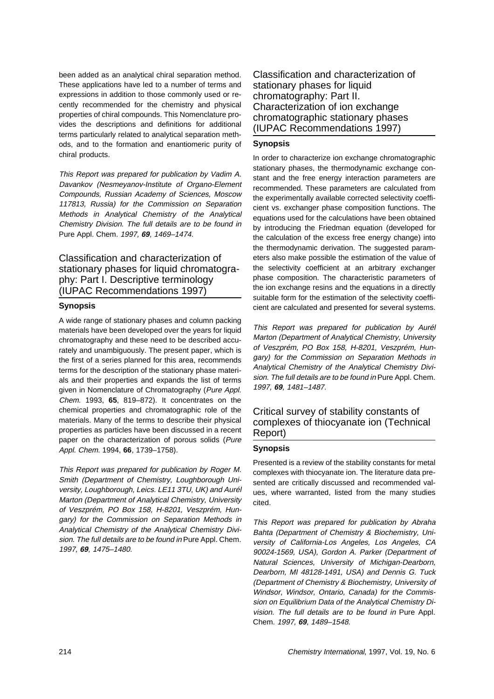been added as an analytical chiral separation method. These applications have led to a number of terms and expressions in addition to those commonly used or recently recommended for the chemistry and physical properties of chiral compounds. This Nomenclature provides the descriptions and definitions for additional terms particularly related to analytical separation methods, and to the formation and enantiomeric purity of chiral products.

This Report was prepared for publication by Vadim A. Davankov (Nesmeyanov-Institute of Organo-Element Compounds, Russian Academy of Sciences, Moscow 117813, Russia) for the Commission on Separation Methods in Analytical Chemistry of the Analytical Chemistry Division. The full details are to be found in Pure Appl. Chem. 1997, **69**, 1469–1474.

Classification and characterization of stationary phases for liquid chromatography: Part I. Descriptive terminology (IUPAC Recommendations 1997)

#### **Synopsis**

A wide range of stationary phases and column packing materials have been developed over the years for liquid chromatography and these need to be described accurately and unambiguously. The present paper, which is the first of a series planned for this area, recommends terms for the description of the stationary phase materials and their properties and expands the list of terms given in Nomenclature of Chromatography (Pure Appl. Chem. 1993, **65**, 819–872). It concentrates on the chemical properties and chromatographic role of the materials. Many of the terms to describe their physical properties as particles have been discussed in a recent paper on the characterization of porous solids (Pure Appl. Chem. 1994, **66**, 1739–1758).

This Report was prepared for publication by Roger M. Smith (Department of Chemistry, Loughborough University, Loughborough, Leics. LE11 3TU, UK) and Aurél Marton (Department of Analytical Chemistry, University of Veszprém, PO Box 158, H-8201, Veszprém, Hungary) for the Commission on Separation Methods in Analytical Chemistry of the Analytical Chemistry Division. The full details are to be found in Pure Appl. Chem. 1997, **69**, 1475–1480.

Classification and characterization of stationary phases for liquid chromatography: Part II. Characterization of ion exchange chromatographic stationary phases (IUPAC Recommendations 1997)

### **Synopsis**

In order to characterize ion exchange chromatographic stationary phases, the thermodynamic exchange constant and the free energy interaction parameters are recommended. These parameters are calculated from the experimentally available corrected selectivity coefficient vs. exchanger phase composition functions. The equations used for the calculations have been obtained by introducing the Friedman equation (developed for the calculation of the excess free energy change) into the thermodynamic derivation. The suggested parameters also make possible the estimation of the value of the selectivity coefficient at an arbitrary exchanger phase composition. The characteristic parameters of the ion exchange resins and the equations in a directly suitable form for the estimation of the selectivity coefficient are calculated and presented for several systems.

This Report was prepared for publication by Aurél Marton (Department of Analytical Chemistry, University of Veszprém, PO Box 158, H-8201, Veszprém, Hungary) for the Commission on Separation Methods in Analytical Chemistry of the Analytical Chemistry Division. The full details are to be found in Pure Appl. Chem. 1997, **69**, 1481–1487.

# Critical survey of stability constants of complexes of thiocyanate ion (Technical Report)

### **Synopsis**

Presented is a review of the stability constants for metal complexes with thiocyanate ion. The literature data presented are critically discussed and recommended values, where warranted, listed from the many studies cited.

This Report was prepared for publication by Abraha Bahta (Department of Chemistry & Biochemistry, University of California-Los Angeles, Los Angeles, CA 90024-1569, USA), Gordon A. Parker (Department of Natural Sciences, University of Michigan-Dearborn, Dearborn, MI 48128-1491, USA) and Dennis G. Tuck (Department of Chemistry & Biochemistry, University of Windsor, Windsor, Ontario, Canada) for the Commission on Equilibrium Data of the Analytical Chemistry Division. The full details are to be found in Pure Appl. Chem. 1997, **69**, 1489–1548.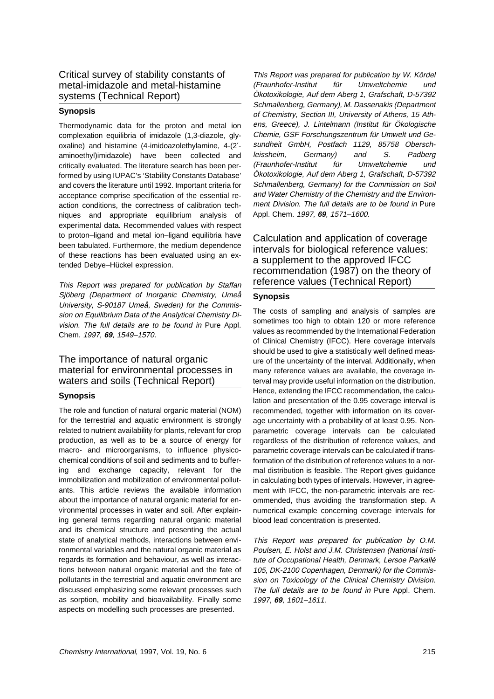## Critical survey of stability constants of metal-imidazole and metal-histamine systems (Technical Report)

#### **Synopsis**

Thermodynamic data for the proton and metal ion complexation equilibria of imidazole (1,3-diazole, glyoxaline) and histamine (4-imidoazolethylamine, 4-(2′ aminoethyl)imidazole) have been collected and critically evaluated. The literature search has been performed by using IUPAC's 'Stability Constants Database' and covers the literature until 1992. Important criteria for acceptance comprise specification of the essential reaction conditions, the correctness of calibration techniques and appropriate equilibrium analysis of experimental data. Recommended values with respect to proton–ligand and metal ion–ligand equilibria have been tabulated. Furthermore, the medium dependence of these reactions has been evaluated using an extended Debye–Hückel expression.

This Report was prepared for publication by Staffan Sjöberg (Department of Inorganic Chemistry, Umeå University, S-90187 Umeå, Sweden) for the Commission on Equilibrium Data of the Analytical Chemistry Division. The full details are to be found in Pure Appl. Chem. 1997, **69**, 1549–1570.

## The importance of natural organic material for environmental processes in waters and soils (Technical Report)

#### **Synopsis**

The role and function of natural organic material (NOM) for the terrestrial and aquatic environment is strongly related to nutrient availability for plants, relevant for crop production, as well as to be a source of energy for macro- and microorganisms, to influence physicochemical conditions of soil and sediments and to buffering and exchange capacity, relevant for the immobilization and mobilization of environmental pollutants. This article reviews the available information about the importance of natural organic material for environmental processes in water and soil. After explaining general terms regarding natural organic material and its chemical structure and presenting the actual state of analytical methods, interactions between environmental variables and the natural organic material as regards its formation and behaviour, as well as interactions between natural organic material and the fate of pollutants in the terrestrial and aquatic environment are discussed emphasizing some relevant processes such as sorption, mobility and bioavailability. Finally some aspects on modelling such processes are presented.

This Report was prepared for publication by W. Kördel (Fraunhofer-Institut für Umweltchemie und Ökotoxikologie, Auf dem Aberg 1, Grafschaft, D-57392 Schmallenberg, Germany), M. Dassenakis (Department of Chemistry, Section III, University of Athens, 15 Athens, Greece), J. Lintelmann (Institut für Ökologische Chemie, GSF Forschungszentrum für Umwelt und Gesundheit GmbH, Postfach 1129, 85758 Oberschleissheim, Germany) and S. Padberg (Fraunhofer-Institut für Umweltchemie und Ökotoxikologie, Auf dem Aberg 1, Grafschaft, D-57392 Schmallenberg, Germany) for the Commission on Soil and Water Chemistry of the Chemistry and the Environment Division. The full details are to be found in Pure Appl. Chem. 1997, **69**, 1571–1600.

Calculation and application of coverage intervals for biological reference values: a supplement to the approved IFCC recommendation (1987) on the theory of reference values (Technical Report)

### **Synopsis**

The costs of sampling and analysis of samples are sometimes too high to obtain 120 or more reference values as recommended by the International Federation of Clinical Chemistry (IFCC). Here coverage intervals should be used to give a statistically well defined measure of the uncertainty of the interval. Additionally, when many reference values are available, the coverage interval may provide useful information on the distribution. Hence, extending the IFCC recommendation, the calculation and presentation of the 0.95 coverage interval is recommended, together with information on its coverage uncertainty with a probability of at least 0.95. Nonparametric coverage intervals can be calculated regardless of the distribution of reference values, and parametric coverage intervals can be calculated if transformation of the distribution of reference values to a normal distribution is feasible. The Report gives guidance in calculating both types of intervals. However, in agreement with IFCC, the non-parametric intervals are recommended, thus avoiding the transformation step. A numerical example concerning coverage intervals for blood lead concentration is presented.

This Report was prepared for publication by O.M. Poulsen, E. Holst and J.M. Christensen (National Institute of Occupational Health, Denmark, Lersoe Parkallé 105, DK-2100 Copenhagen, Denmark) for the Commission on Toxicology of the Clinical Chemistry Division. The full details are to be found in Pure Appl. Chem. 1997, **69**, 1601–1611.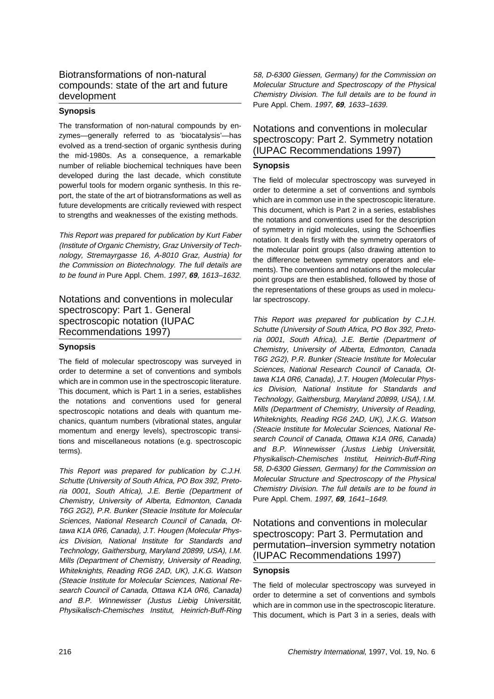# Biotransformations of non-natural compounds: state of the art and future development

### **Synopsis**

The transformation of non-natural compounds by enzymes—generally referred to as 'biocatalysis'—has evolved as a trend-section of organic synthesis during the mid-1980s. As a consequence, a remarkable number of reliable biochemical techniques have been developed during the last decade, which constitute powerful tools for modern organic synthesis. In this report, the state of the art of biotransformations as well as future developments are critically reviewed with respect to strengths and weaknesses of the existing methods.

This Report was prepared for publication by Kurt Faber (Institute of Organic Chemistry, Graz University of Technology, Stremayrgasse 16, A-8010 Graz, Austria) for the Commission on Biotechnology. The full details are to be found in Pure Appl. Chem. 1997, **69**, 1613–1632.

## Notations and conventions in molecular spectroscopy: Part 1. General spectroscopic notation (IUPAC Recommendations 1997)

#### **Synopsis**

The field of molecular spectroscopy was surveyed in order to determine a set of conventions and symbols which are in common use in the spectroscopic literature. This document, which is Part 1 in a series, establishes the notations and conventions used for general spectroscopic notations and deals with quantum mechanics, quantum numbers (vibrational states, angular momentum and energy levels), spectroscopic transitions and miscellaneous notations (e.g. spectroscopic terms).

This Report was prepared for publication by C.J.H. Schutte (University of South Africa, PO Box 392, Pretoria 0001, South Africa), J.E. Bertie (Department of Chemistry, University of Alberta, Edmonton, Canada T6G 2G2), P.R. Bunker (Steacie Institute for Molecular Sciences, National Research Council of Canada, Ottawa K1A 0R6, Canada), J.T. Hougen (Molecular Physics Division, National Institute for Standards and Technology, Gaithersburg, Maryland 20899, USA), I.M. Mills (Department of Chemistry, University of Reading, Whiteknights, Reading RG6 2AD, UK), J.K.G. Watson (Steacie Institute for Molecular Sciences, National Research Council of Canada, Ottawa K1A 0R6, Canada) and B.P. Winnewisser (Justus Liebig Universität, Physikalisch-Chemisches Institut, Heinrich-Buff-Ring

58, D-6300 Giessen, Germany) for the Commission on Molecular Structure and Spectroscopy of the Physical Chemistry Division. The full details are to be found in Pure Appl. Chem. 1997, **69**, 1633–1639.

### Notations and conventions in molecular spectroscopy: Part 2. Symmetry notation (IUPAC Recommendations 1997)

### **Synopsis**

The field of molecular spectroscopy was surveyed in order to determine a set of conventions and symbols which are in common use in the spectroscopic literature. This document, which is Part 2 in a series, establishes the notations and conventions used for the description of symmetry in rigid molecules, using the Schoenflies notation. It deals firstly with the symmetry operators of the molecular point groups (also drawing attention to the difference between symmetry operators and elements). The conventions and notations of the molecular point groups are then established, followed by those of the representations of these groups as used in molecular spectroscopy.

This Report was prepared for publication by C.J.H. Schutte (University of South Africa, PO Box 392, Pretoria 0001, South Africa), J.E. Bertie (Department of Chemistry, University of Alberta, Edmonton, Canada T6G 2G2), P.R. Bunker (Steacie Institute for Molecular Sciences, National Research Council of Canada, Ottawa K1A 0R6, Canada), J.T. Hougen (Molecular Physics Division, National Institute for Standards and Technology, Gaithersburg, Maryland 20899, USA), I.M. Mills (Department of Chemistry, University of Reading, Whiteknights, Reading RG6 2AD, UK), J.K.G. Watson (Steacie Institute for Molecular Sciences, National Research Council of Canada, Ottawa K1A 0R6, Canada) and B.P. Winnewisser (Justus Liebig Universität, Physikalisch-Chemisches Institut, Heinrich-Buff-Ring 58, D-6300 Giessen, Germany) for the Commission on Molecular Structure and Spectroscopy of the Physical Chemistry Division. The full details are to be found in Pure Appl. Chem. 1997, **69**, 1641–1649.

# Notations and conventions in molecular spectroscopy: Part 3. Permutation and permutation–inversion symmetry notation (IUPAC Recommendations 1997)

### **Synopsis**

The field of molecular spectroscopy was surveyed in order to determine a set of conventions and symbols which are in common use in the spectroscopic literature. This document, which is Part 3 in a series, deals with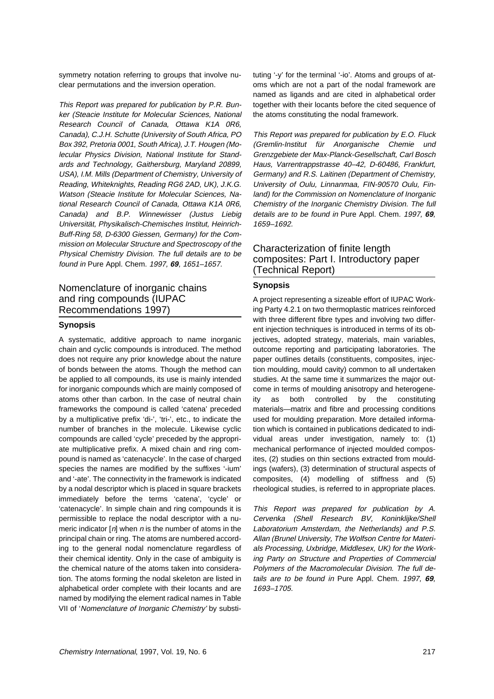symmetry notation referring to groups that involve nuclear permutations and the inversion operation.

This Report was prepared for publication by P.R. Bunker (Steacie Institute for Molecular Sciences, National Research Council of Canada, Ottawa K1A 0R6, Canada), C.J.H. Schutte (University of South Africa, PO Box 392, Pretoria 0001, South Africa), J.T. Hougen (Molecular Physics Division, National Institute for Standards and Technology, Gaithersburg, Maryland 20899, USA), I.M. Mills (Department of Chemistry, University of Reading, Whiteknights, Reading RG6 2AD, UK), J.K.G. Watson (Steacie Institute for Molecular Sciences, National Research Council of Canada, Ottawa K1A 0R6, Canada) and B.P. Winnewisser (Justus Liebig Universität, Physikalisch-Chemisches Institut, Heinrich-Buff-Ring 58, D-6300 Giessen, Germany) for the Commission on Molecular Structure and Spectroscopy of the Physical Chemistry Division. The full details are to be found in Pure Appl. Chem. 1997, **69**, 1651–1657.

## Nomenclature of inorganic chains and ring compounds (IUPAC Recommendations 1997)

#### **Synopsis**

A systematic, additive approach to name inorganic chain and cyclic compounds is introduced. The method does not require any prior knowledge about the nature of bonds between the atoms. Though the method can be applied to all compounds, its use is mainly intended for inorganic compounds which are mainly composed of atoms other than carbon. In the case of neutral chain frameworks the compound is called 'catena' preceded by a multiplicative prefix 'di-', 'tri-', etc., to indicate the number of branches in the molecule. Likewise cyclic compounds are called 'cycle' preceded by the appropriate multiplicative prefix. A mixed chain and ring compound is named as 'catenacycle'. In the case of charged species the names are modified by the suffixes '-ium' and '-ate'. The connectivity in the framework is indicated by a nodal descriptor which is placed in square brackets immediately before the terms 'catena', 'cycle' or 'catenacycle'. In simple chain and ring compounds it is permissible to replace the nodal descriptor with a numeric indicator  $[n]$  when n is the number of atoms in the principal chain or ring. The atoms are numbered according to the general nodal nomenclature regardless of their chemical identity. Only in the case of ambiguity is the chemical nature of the atoms taken into consideration. The atoms forming the nodal skeleton are listed in alphabetical order complete with their locants and are named by modifying the element radical names in Table VII of 'Nomenclature of Inorganic Chemistry' by substituting '-y' for the terminal '-io'. Atoms and groups of atoms which are not a part of the nodal framework are named as ligands and are cited in alphabetical order together with their locants before the cited sequence of the atoms constituting the nodal framework.

This Report was prepared for publication by E.O. Fluck (Gremlin-Institut für Anorganische Chemie und Grenzgebiete der Max-Planck-Gesellschaft, Carl Bosch Haus, Varrentrappstrasse 40–42, D-60486, Frankfurt, Germany) and R.S. Laitinen (Department of Chemistry, University of Oulu, Linnanmaa, FIN-90570 Oulu, Finland) for the Commission on Nomenclature of Inorganic Chemistry of the Inorganic Chemistry Division. The full details are to be found in Pure Appl. Chem. 1997, **69**, 1659–1692.

## Characterization of finite length composites: Part I. Introductory paper (Technical Report)

### **Synopsis**

A project representing a sizeable effort of IUPAC Working Party 4.2.1 on two thermoplastic matrices reinforced with three different fibre types and involving two different injection techniques is introduced in terms of its objectives, adopted strategy, materials, main variables, outcome reporting and participating laboratories. The paper outlines details (constituents, composites, injection moulding, mould cavity) common to all undertaken studies. At the same time it summarizes the major outcome in terms of moulding anisotropy and heterogeneity as both controlled by the constituting materials—matrix and fibre and processing conditions used for moulding preparation. More detailed information which is contained in publications dedicated to individual areas under investigation, namely to: (1) mechanical performance of injected moulded composites, (2) studies on thin sections extracted from mouldings (wafers), (3) determination of structural aspects of composites, (4) modelling of stiffness and (5) rheological studies, is referred to in appropriate places.

This Report was prepared for publication by A. Cervenka (Shell Research BV, Koninklijke/Shell Laboratorium Amsterdam, the Netherlands) and P.S. Allan (Brunel University, The Wolfson Centre for Materials Processing, Uxbridge, Middlesex, UK) for the Working Party on Structure and Properties of Commercial Polymers of the Macromolecular Division. The full details are to be found in Pure Appl. Chem. 1997, **69**, 1693–1705.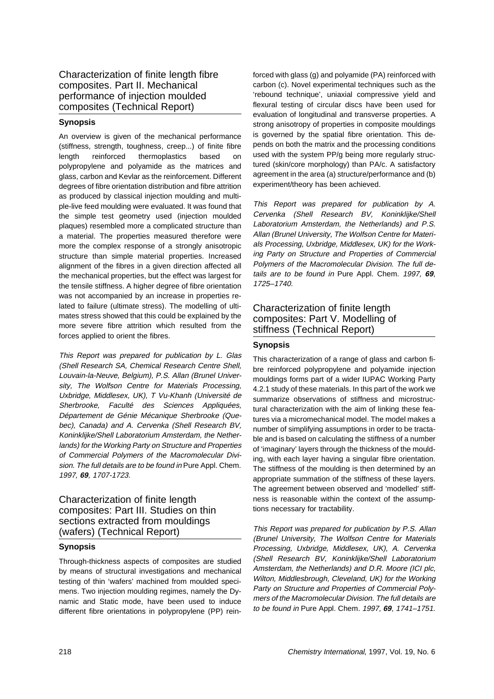Characterization of finite length fibre composites. Part II. Mechanical performance of injection moulded composites (Technical Report)

### **Synopsis**

An overview is given of the mechanical performance (stiffness, strength, toughness, creep...) of finite fibre length reinforced thermoplastics based on polypropylene and polyamide as the matrices and glass, carbon and Kevlar as the reinforcement. Different degrees of fibre orientation distribution and fibre attrition as produced by classical injection moulding and multiple-live feed moulding were evaluated. It was found that the simple test geometry used (injection moulded plaques) resembled more a complicated structure than a material. The properties measured therefore were more the complex response of a strongly anisotropic structure than simple material properties. Increased alignment of the fibres in a given direction affected all the mechanical properties, but the effect was largest for the tensile stiffness. A higher degree of fibre orientation was not accompanied by an increase in properties related to failure (ultimate stress). The modelling of ultimates stress showed that this could be explained by the more severe fibre attrition which resulted from the forces applied to orient the fibres.

This Report was prepared for publication by L. Glas (Shell Research SA, Chemical Research Centre Shell, Louvain-la-Neuve, Belgium), P.S. Allan (Brunel University, The Wolfson Centre for Materials Processing, Uxbridge, Middlesex, UK), T Vu-Khanh (Université de Sherbrooke, Faculté des Sciences Appliquées, Département de Génie Mécanique Sherbrooke (Quebec), Canada) and A. Cervenka (Shell Research BV, Koninklijke/Shell Laboratorium Amsterdam, the Netherlands) for the Working Party on Structure and Properties of Commercial Polymers of the Macromolecular Division. The full details are to be found in Pure Appl. Chem. 1997, **69**, 1707-1723.

# Characterization of finite length composites: Part III. Studies on thin sections extracted from mouldings (wafers) (Technical Report)

#### **Synopsis**

Through-thickness aspects of composites are studied by means of structural investigations and mechanical testing of thin 'wafers' machined from moulded specimens. Two injection moulding regimes, namely the Dynamic and Static mode, have been used to induce different fibre orientations in polypropylene (PP) rein-

forced with glass (g) and polyamide (PA) reinforced with carbon (c). Novel experimental techniques such as the 'rebound technique', uniaxial compressive yield and flexural testing of circular discs have been used for evaluation of longitudinal and transverse properties. A strong anisotropy of properties in composite mouldings is governed by the spatial fibre orientation. This depends on both the matrix and the processing conditions used with the system PP/g being more regularly structured (skin/core morphology) than PA/c. A satisfactory agreement in the area (a) structure/performance and (b) experiment/theory has been achieved.

This Report was prepared for publication by A. Cervenka (Shell Research BV, Koninklijke/Shell Laboratorium Amsterdam, the Netherlands) and P.S. Allan (Brunel University, The Wolfson Centre for Materials Processing, Uxbridge, Middlesex, UK) for the Working Party on Structure and Properties of Commercial Polymers of the Macromolecular Division. The full details are to be found in Pure Appl. Chem. 1997, **69**, 1725–1740.

## Characterization of finite length composites: Part V. Modelling of stiffness (Technical Report)

#### **Synopsis**

This characterization of a range of glass and carbon fibre reinforced polypropylene and polyamide injection mouldings forms part of a wider IUPAC Working Party 4.2.1 study of these materials. In this part of the work we summarize observations of stiffness and microstructural characterization with the aim of linking these features via a micromechanical model. The model makes a number of simplifying assumptions in order to be tractable and is based on calculating the stiffness of a number of 'imaginary' layers through the thickness of the moulding, with each layer having a singular fibre orientation. The stiffness of the moulding is then determined by an appropriate summation of the stiffness of these layers. The agreement between observed and 'modelled' stiffness is reasonable within the context of the assumptions necessary for tractability.

This Report was prepared for publication by P.S. Allan (Brunel University, The Wolfson Centre for Materials Processing, Uxbridge, Middlesex, UK), A. Cervenka (Shell Research BV, Koninklijke/Shell Laboratorium Amsterdam, the Netherlands) and D.R. Moore (ICI plc, Wilton, Middlesbrough, Cleveland, UK) for the Working Party on Structure and Properties of Commercial Polymers of the Macromolecular Division. The full details are to be found in Pure Appl. Chem. 1997, **69**, 1741–1751.